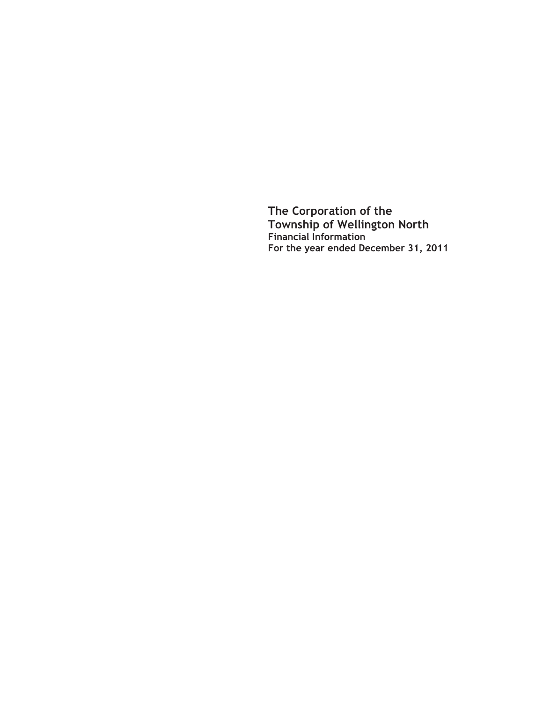**The Corporation of the Township of Wellington North Financial Information For the year ended December 31, 2011**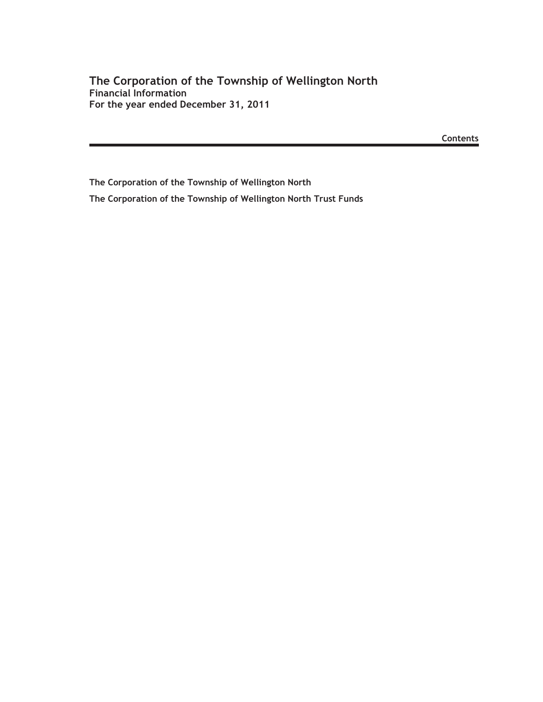**Contents**

**The Corporation of the Township of Wellington North**

**The Corporation of the Township of Wellington North Trust Funds**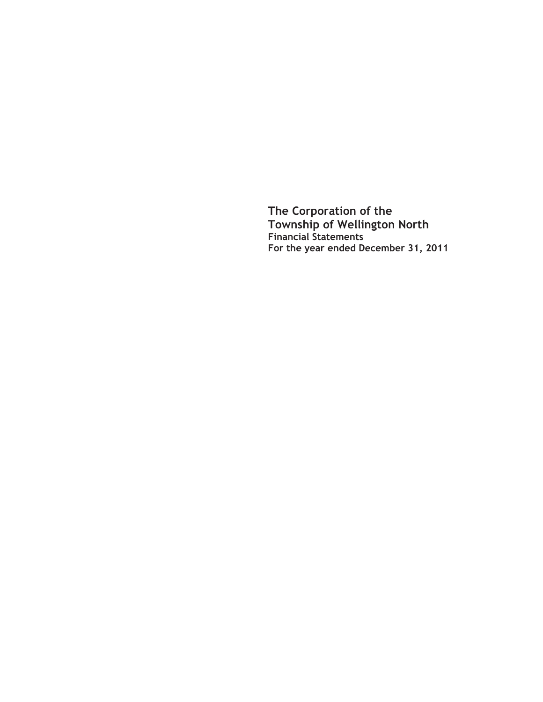**The Corporation of the Township of Wellington North Financial Statements For the year ended December 31, 2011**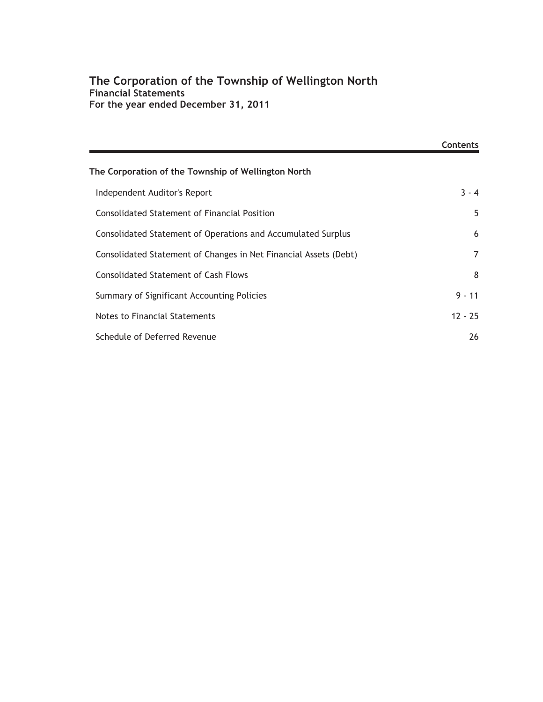## **The Corporation of the Township of Wellington North Financial Statements For the year ended December 31, 2011**

|                                                                  | Contents  |
|------------------------------------------------------------------|-----------|
| The Corporation of the Township of Wellington North              |           |
| Independent Auditor's Report                                     | $3 - 4$   |
| Consolidated Statement of Financial Position                     | 5         |
| Consolidated Statement of Operations and Accumulated Surplus     | 6         |
| Consolidated Statement of Changes in Net Financial Assets (Debt) | 7         |
| <b>Consolidated Statement of Cash Flows</b>                      | 8         |
| Summary of Significant Accounting Policies                       | $9 - 11$  |
| Notes to Financial Statements                                    | $12 - 25$ |
| Schedule of Deferred Revenue                                     | 26        |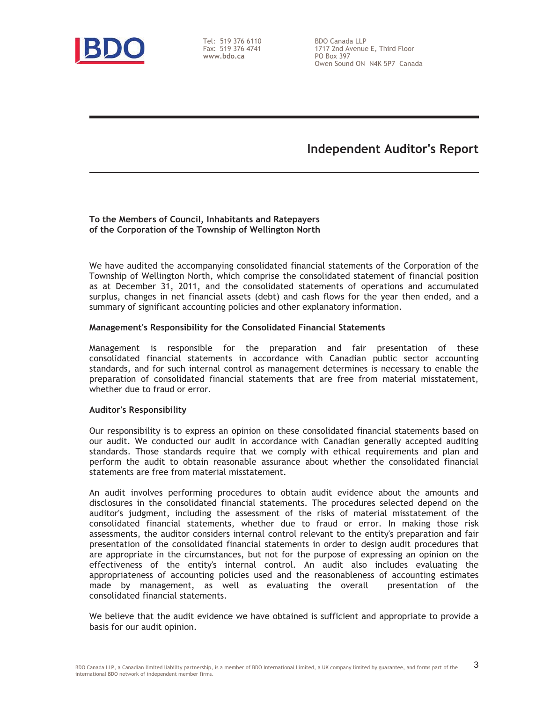

Tel: 519 376 6110 Fax: 519 376 4741 **www.bdo.ca** 

BDO Canada LLP 1717 2nd Avenue E, Third Floor PO Box 397 Owen Sound ON N4K 5P7 Canada

# **Independent Auditor's Report**

### **To the Members of Council, Inhabitants and Ratepayers of the Corporation of the Township of Wellington North**

We have audited the accompanying consolidated financial statements of the Corporation of the Township of Wellington North, which comprise the consolidated statement of financial position as at December 31, 2011, and the consolidated statements of operations and accumulated surplus, changes in net financial assets (debt) and cash flows for the year then ended, and a summary of significant accounting policies and other explanatory information.

### **Management's Responsibility for the Consolidated Financial Statements**

Management is responsible for the preparation and fair presentation of these consolidated financial statements in accordance with Canadian public sector accounting standards, and for such internal control as management determines is necessary to enable the preparation of consolidated financial statements that are free from material misstatement, whether due to fraud or error.

### **Auditor's Responsibility**

Our responsibility is to express an opinion on these consolidated financial statements based on our audit. We conducted our audit in accordance with Canadian generally accepted auditing standards. Those standards require that we comply with ethical requirements and plan and perform the audit to obtain reasonable assurance about whether the consolidated financial statements are free from material misstatement.

An audit involves performing procedures to obtain audit evidence about the amounts and disclosures in the consolidated financial statements. The procedures selected depend on the auditor's judgment, including the assessment of the risks of material misstatement of the consolidated financial statements, whether due to fraud or error. In making those risk assessments, the auditor considers internal control relevant to the entity's preparation and fair presentation of the consolidated financial statements in order to design audit procedures that are appropriate in the circumstances, but not for the purpose of expressing an opinion on the effectiveness of the entity's internal control. An audit also includes evaluating the appropriateness of accounting policies used and the reasonableness of accounting estimates made by management, as well as evaluating the overall presentation of the consolidated financial statements.

We believe that the audit evidence we have obtained is sufficient and appropriate to provide a basis for our audit opinion.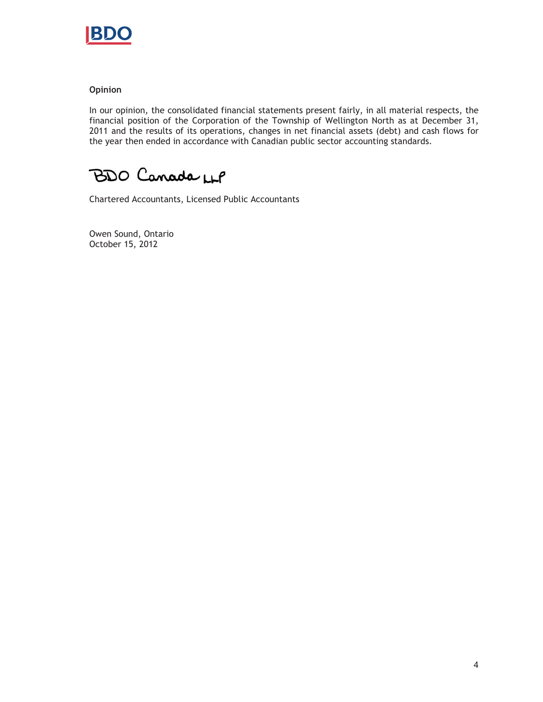

## **Opinion**

In our opinion, the consolidated financial statements present fairly, in all material respects, the financial position of the Corporation of the Township of Wellington North as at December 31, 2011 and the results of its operations, changes in net financial assets (debt) and cash flows for the year then ended in accordance with Canadian public sector accounting standards.

BDO Canada LLP

Chartered Accountants, Licensed Public Accountants

Owen Sound, Ontario October 15, 2012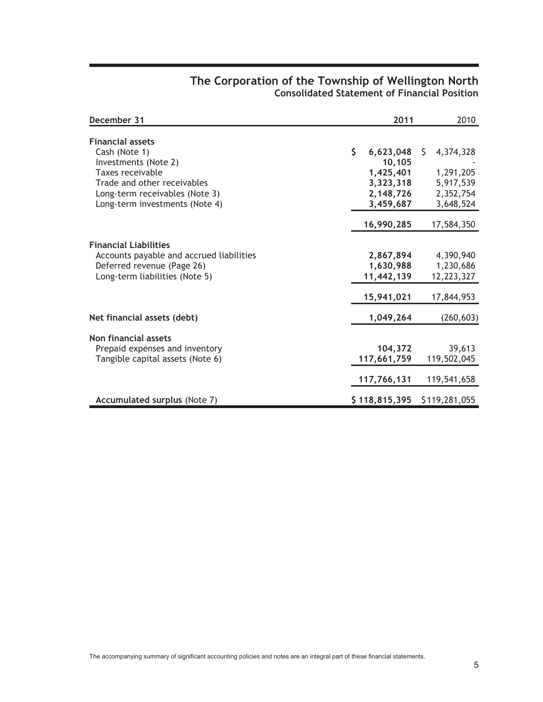| December 31                              | 2011                |    | 2010          |
|------------------------------------------|---------------------|----|---------------|
| <b>Financial assets</b><br>Cash (Note 1) | \$<br>6,623,048     | S. | 4,374,328     |
| Investments (Note 2)<br>Taxes receivable | 10,105<br>1,425,401 |    | 1,291,205     |
| Trade and other receivables              | 3,323,318           |    | 5,917,539     |
| Long-term receivables (Note 3)           | 2,148,726           |    | 2,352,754     |
| Long-term investments (Note 4)           | 3,459,687           |    | 3,648,524     |
|                                          | 16,990,285          |    | 17,584,350    |
| <b>Financial Liabilities</b>             |                     |    |               |
| Accounts payable and accrued liabilities | 2,867,894           |    | 4,390,940     |
| Deferred revenue (Page 26)               | 1,630,988           |    | 1,230,686     |
| Long-term liabilities (Note 5)           | 11,442,139          |    | 12,223,327    |
|                                          | 15,941,021          |    | 17,844,953    |
| Net financial assets (debt)              | 1,049,264           |    | (260, 603)    |
| Non financial assets                     |                     |    |               |
| Prepaid expenses and inventory           | 104,372             |    | 39,613        |
| Tangible capital assets (Note 6)         | 117,661,759         |    | 119,502,045   |
|                                          | 117,766,131         |    | 119,541,658   |
| Accumulated surplus (Note 7)             | \$118,815,395       |    | \$119,281,055 |

## **The Corporation of the Township of Wellington North Consolidated Statement of Financial Position**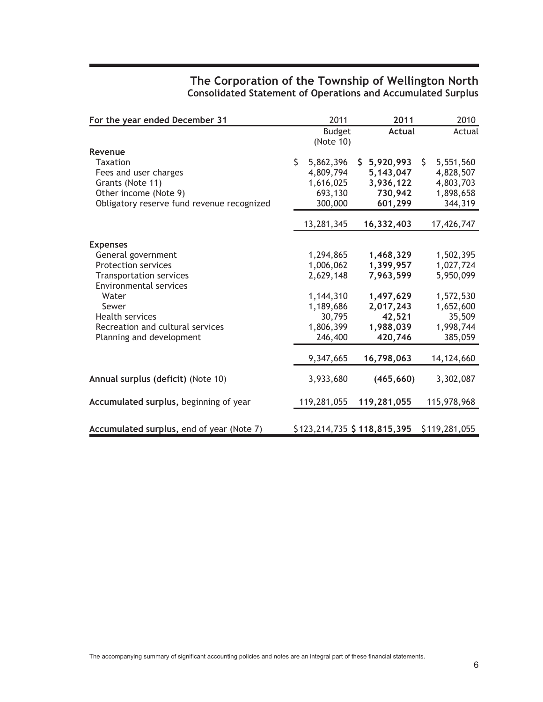## **The Corporation of the Township of Wellington North Consolidated Statement of Operations and Accumulated Surplus**

| For the year ended December 31             | 2011            | 2011                        | 2010            |
|--------------------------------------------|-----------------|-----------------------------|-----------------|
|                                            | <b>Budget</b>   | Actual                      | Actual          |
|                                            | (Note 10)       |                             |                 |
| Revenue                                    |                 |                             |                 |
| <b>Taxation</b>                            | \$<br>5,862,396 | 5,920,993<br>S.             | \$<br>5,551,560 |
| Fees and user charges                      | 4,809,794       | 5,143,047                   | 4,828,507       |
| Grants (Note 11)                           | 1,616,025       | 3,936,122                   | 4,803,703       |
| Other income (Note 9)                      | 693,130         | 730,942                     | 1,898,658       |
| Obligatory reserve fund revenue recognized | 300,000         | 601,299                     | 344,319         |
|                                            | 13,281,345      | 16,332,403                  | 17,426,747      |
|                                            |                 |                             |                 |
| <b>Expenses</b><br>General government      | 1,294,865       | 1,468,329                   | 1,502,395       |
| <b>Protection services</b>                 | 1,006,062       | 1,399,957                   | 1,027,724       |
| <b>Transportation services</b>             | 2,629,148       | 7,963,599                   | 5,950,099       |
| <b>Environmental services</b>              |                 |                             |                 |
| Water                                      | 1,144,310       | 1,497,629                   | 1,572,530       |
| Sewer                                      | 1,189,686       | 2,017,243                   | 1,652,600       |
| Health services                            | 30,795          | 42,521                      | 35,509          |
| Recreation and cultural services           | 1,806,399       | 1,988,039                   | 1,998,744       |
| Planning and development                   | 246,400         | 420,746                     | 385,059         |
|                                            |                 |                             |                 |
|                                            | 9,347,665       | 16,798,063                  | 14,124,660      |
| Annual surplus (deficit) (Note 10)         | 3,933,680       | (465, 660)                  | 3,302,087       |
| Accumulated surplus, beginning of year     | 119,281,055     | 119,281,055                 | 115,978,968     |
|                                            |                 |                             |                 |
| Accumulated surplus, end of year (Note 7)  |                 | \$123,214,735 \$118,815,395 | \$119,281,055   |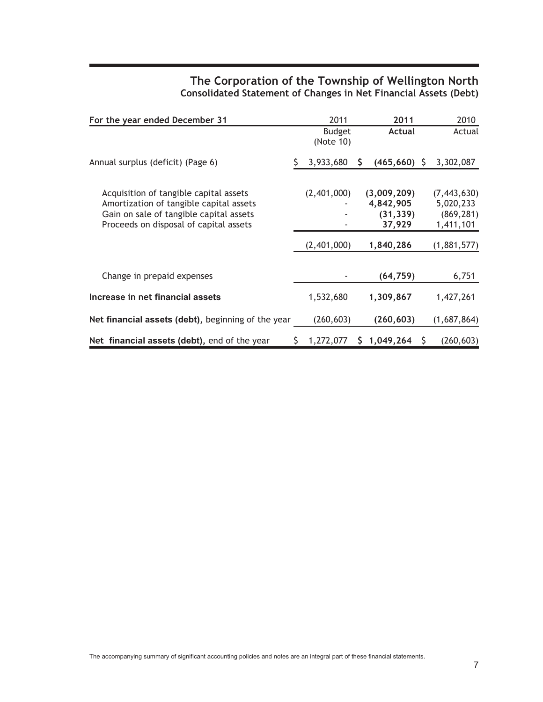## **The Corporation of the Township of Wellington North Consolidated Statement of Changes in Net Financial Assets (Debt)**

| For the year ended December 31                                                                                                                                         |    | 2011                       |     | 2011                                            |   | 2010                                                  |
|------------------------------------------------------------------------------------------------------------------------------------------------------------------------|----|----------------------------|-----|-------------------------------------------------|---|-------------------------------------------------------|
|                                                                                                                                                                        |    | <b>Budget</b><br>(Note 10) |     | Actual                                          |   | Actual                                                |
| Annual surplus (deficit) (Page 6)                                                                                                                                      |    | 3,933,680                  | \$. | $(465, 660)$ \$                                 |   | 3,302,087                                             |
| Acquisition of tangible capital assets<br>Amortization of tangible capital assets<br>Gain on sale of tangible capital assets<br>Proceeds on disposal of capital assets |    | (2,401,000)                |     | (3,009,209)<br>4,842,905<br>(31, 339)<br>37,929 |   | (7, 443, 630)<br>5,020,233<br>(869, 281)<br>1,411,101 |
|                                                                                                                                                                        |    | (2,401,000)                |     | 1,840,286                                       |   | (1,881,577)                                           |
| Change in prepaid expenses                                                                                                                                             |    |                            |     | (64, 759)                                       |   | 6,751                                                 |
| Increase in net financial assets                                                                                                                                       |    | 1,532,680                  |     | 1,309,867                                       |   | 1,427,261                                             |
| Net financial assets (debt), beginning of the year                                                                                                                     |    | (260, 603)                 |     | (260, 603)                                      |   | (1,687,864)                                           |
| Net financial assets (debt), end of the year                                                                                                                           | S. | 1,272,077                  |     | \$1,049,264                                     | S | (260, 603)                                            |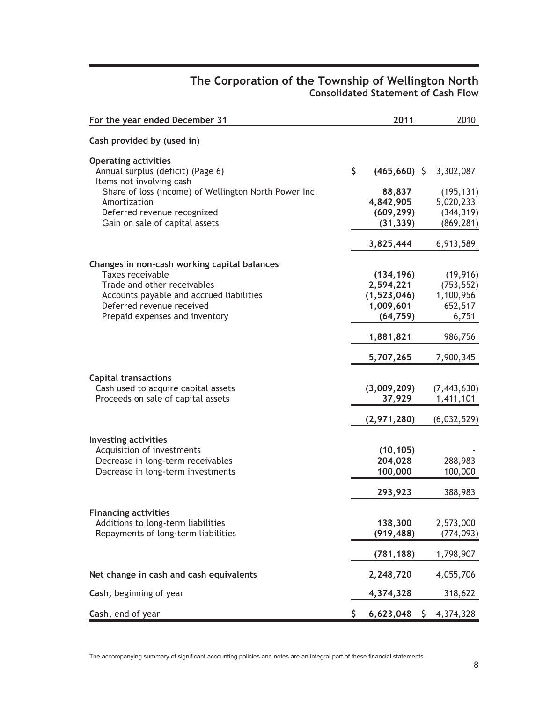| For the year ended December 31                                                               |    | 2011            | 2010          |
|----------------------------------------------------------------------------------------------|----|-----------------|---------------|
| Cash provided by (used in)                                                                   |    |                 |               |
| <b>Operating activities</b><br>Annual surplus (deficit) (Page 6)<br>Items not involving cash | \$ | $(465, 660)$ \$ | 3,302,087     |
| Share of loss (income) of Wellington North Power Inc.                                        |    | 88,837          | (195, 131)    |
| Amortization                                                                                 |    | 4,842,905       | 5,020,233     |
| Deferred revenue recognized                                                                  |    | (609, 299)      | (344, 319)    |
| Gain on sale of capital assets                                                               |    | (31, 339)       | (869, 281)    |
|                                                                                              |    | 3,825,444       | 6,913,589     |
|                                                                                              |    |                 |               |
| Changes in non-cash working capital balances                                                 |    |                 |               |
| Taxes receivable                                                                             |    | (134, 196)      | (19, 916)     |
| Trade and other receivables                                                                  |    | 2,594,221       | (753, 552)    |
| Accounts payable and accrued liabilities                                                     |    | (1, 523, 046)   | 1,100,956     |
| Deferred revenue received                                                                    |    | 1,009,601       | 652,517       |
| Prepaid expenses and inventory                                                               |    | (64, 759)       | 6,751         |
|                                                                                              |    | 1,881,821       | 986,756       |
|                                                                                              |    | 5,707,265       | 7,900,345     |
| <b>Capital transactions</b>                                                                  |    |                 |               |
| Cash used to acquire capital assets                                                          |    | (3,009,209)     | (7, 443, 630) |
| Proceeds on sale of capital assets                                                           |    | 37,929          | 1,411,101     |
|                                                                                              |    | (2,971,280)     | (6,032,529)   |
| <b>Investing activities</b>                                                                  |    |                 |               |
| Acquisition of investments                                                                   |    | (10, 105)       |               |
| Decrease in long-term receivables                                                            |    | 204,028         | 288,983       |
| Decrease in long-term investments                                                            |    | 100,000         | 100,000       |
|                                                                                              |    |                 |               |
|                                                                                              |    | 293,923         | 388,983       |
| <b>Financing activities</b>                                                                  |    |                 |               |
| Additions to long-term liabilities                                                           |    | 138,300         | 2,573,000     |
| Repayments of long-term liabilities                                                          |    | (919, 488)      | (774, 093)    |
|                                                                                              |    |                 |               |
|                                                                                              |    | (781, 188)      | 1,798,907     |
| Net change in cash and cash equivalents                                                      |    | 2,248,720       | 4,055,706     |
| Cash, beginning of year                                                                      |    | 4,374,328       | 318,622       |
| Cash, end of year                                                                            | Ş. | $6,623,048$ \$  | 4,374,328     |

## **The Corporation of the Township of Wellington North Consolidated Statement of Cash Flow**

The accompanying summary of significant accounting policies and notes are an integral part of these financial statements.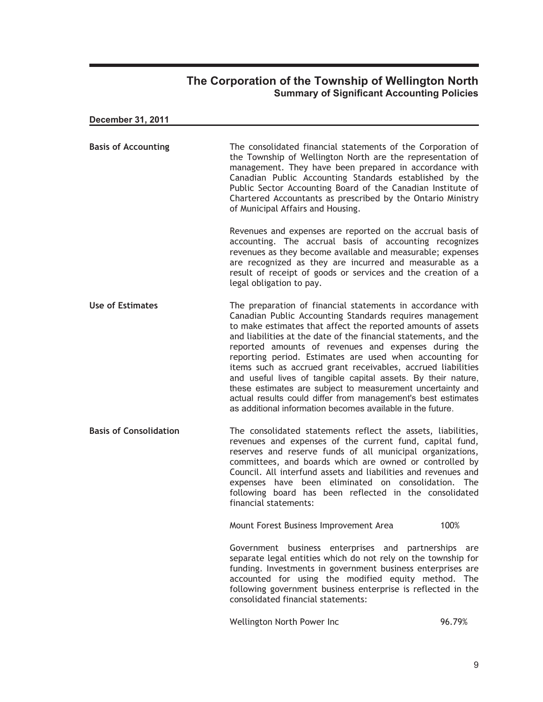## **The Corporation of the Township of Wellington North Summary of Significant Accounting Policies**

**December 31, 2011**

| <b>Basis of Accounting</b>    | The consolidated financial statements of the Corporation of<br>the Township of Wellington North are the representation of<br>management. They have been prepared in accordance with<br>Canadian Public Accounting Standards established by the<br>Public Sector Accounting Board of the Canadian Institute of<br>Chartered Accountants as prescribed by the Ontario Ministry<br>of Municipal Affairs and Housing.                                                                                                                                                                                                                                                                                           |        |
|-------------------------------|-------------------------------------------------------------------------------------------------------------------------------------------------------------------------------------------------------------------------------------------------------------------------------------------------------------------------------------------------------------------------------------------------------------------------------------------------------------------------------------------------------------------------------------------------------------------------------------------------------------------------------------------------------------------------------------------------------------|--------|
|                               | Revenues and expenses are reported on the accrual basis of<br>accounting. The accrual basis of accounting recognizes<br>revenues as they become available and measurable; expenses<br>are recognized as they are incurred and measurable as a<br>result of receipt of goods or services and the creation of a<br>legal obligation to pay.                                                                                                                                                                                                                                                                                                                                                                   |        |
| Use of Estimates              | The preparation of financial statements in accordance with<br>Canadian Public Accounting Standards requires management<br>to make estimates that affect the reported amounts of assets<br>and liabilities at the date of the financial statements, and the<br>reported amounts of revenues and expenses during the<br>reporting period. Estimates are used when accounting for<br>items such as accrued grant receivables, accrued liabilities<br>and useful lives of tangible capital assets. By their nature,<br>these estimates are subject to measurement uncertainty and<br>actual results could differ from management's best estimates<br>as additional information becomes available in the future. |        |
| <b>Basis of Consolidation</b> | The consolidated statements reflect the assets, liabilities,<br>revenues and expenses of the current fund, capital fund,<br>reserves and reserve funds of all municipal organizations,<br>committees, and boards which are owned or controlled by<br>Council. All interfund assets and liabilities and revenues and<br>expenses have been eliminated on consolidation. The<br>following board has been reflected in the consolidated<br>financial statements:                                                                                                                                                                                                                                               |        |
|                               | Mount Forest Business Improvement Area                                                                                                                                                                                                                                                                                                                                                                                                                                                                                                                                                                                                                                                                      | 100%   |
|                               | Government business enterprises and partnerships are<br>separate legal entities which do not rely on the township for<br>funding. Investments in government business enterprises are<br>accounted for using the modified equity method. The<br>following government business enterprise is reflected in the<br>consolidated financial statements:                                                                                                                                                                                                                                                                                                                                                           |        |
|                               | Wellington North Power Inc                                                                                                                                                                                                                                                                                                                                                                                                                                                                                                                                                                                                                                                                                  | 96.79% |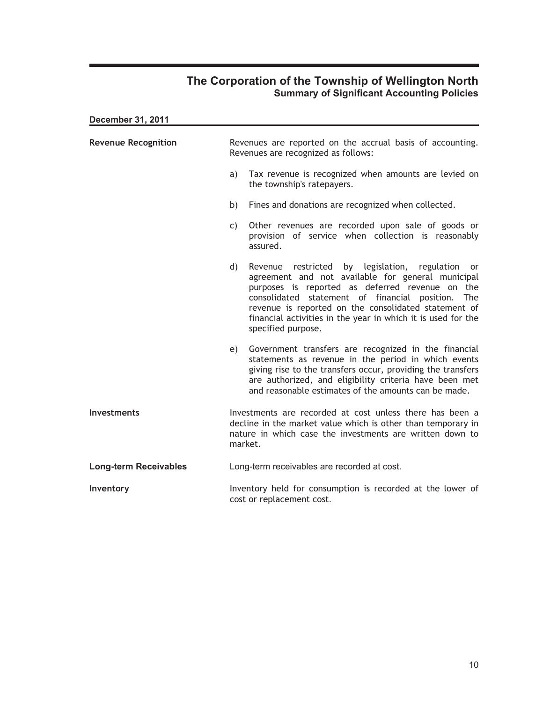## **The Corporation of the Township of Wellington North Summary of Significant Accounting Policies**

**December 31, 2011**

| <b>Revenue Recognition</b>   | Revenues are reported on the accrual basis of accounting.<br>Revenues are recognized as follows: |                                                                                                                                                                                                                                                                                                                                                                |  |  |  |  |
|------------------------------|--------------------------------------------------------------------------------------------------|----------------------------------------------------------------------------------------------------------------------------------------------------------------------------------------------------------------------------------------------------------------------------------------------------------------------------------------------------------------|--|--|--|--|
|                              | a)                                                                                               | Tax revenue is recognized when amounts are levied on<br>the township's ratepayers.                                                                                                                                                                                                                                                                             |  |  |  |  |
|                              | b)                                                                                               | Fines and donations are recognized when collected.                                                                                                                                                                                                                                                                                                             |  |  |  |  |
|                              | C)                                                                                               | Other revenues are recorded upon sale of goods or<br>provision of service when collection is reasonably<br>assured.                                                                                                                                                                                                                                            |  |  |  |  |
|                              | d)                                                                                               | Revenue restricted by legislation, regulation or<br>agreement and not available for general municipal<br>purposes is reported as deferred revenue on the<br>consolidated statement of financial position.<br>The<br>revenue is reported on the consolidated statement of<br>financial activities in the year in which it is used for the<br>specified purpose. |  |  |  |  |
|                              | e)                                                                                               | Government transfers are recognized in the financial<br>statements as revenue in the period in which events<br>giving rise to the transfers occur, providing the transfers<br>are authorized, and eligibility criteria have been met<br>and reasonable estimates of the amounts can be made.                                                                   |  |  |  |  |
| Investments                  |                                                                                                  | Investments are recorded at cost unless there has been a<br>decline in the market value which is other than temporary in<br>nature in which case the investments are written down to<br>market.                                                                                                                                                                |  |  |  |  |
| <b>Long-term Receivables</b> |                                                                                                  | Long-term receivables are recorded at cost.                                                                                                                                                                                                                                                                                                                    |  |  |  |  |
| Inventory                    |                                                                                                  | Inventory held for consumption is recorded at the lower of<br>cost or replacement cost.                                                                                                                                                                                                                                                                        |  |  |  |  |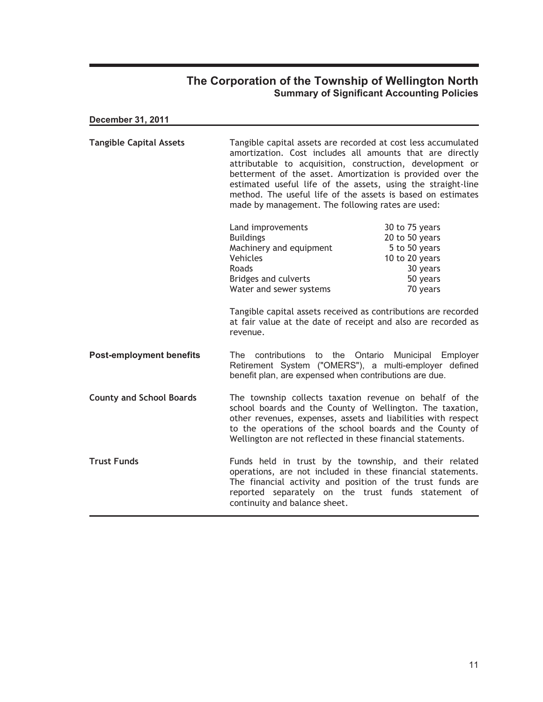## **The Corporation of the Township of Wellington North Summary of Significant Accounting Policies**

**December 31, 2011**

| <b>Tangible Capital Assets</b>  | Tangible capital assets are recorded at cost less accumulated<br>amortization. Cost includes all amounts that are directly<br>attributable to acquisition, construction, development or<br>betterment of the asset. Amortization is provided over the<br>estimated useful life of the assets, using the straight-line<br>method. The useful life of the assets is based on estimates<br>made by management. The following rates are used: |                                                                                                         |  |  |  |
|---------------------------------|-------------------------------------------------------------------------------------------------------------------------------------------------------------------------------------------------------------------------------------------------------------------------------------------------------------------------------------------------------------------------------------------------------------------------------------------|---------------------------------------------------------------------------------------------------------|--|--|--|
|                                 | Land improvements<br><b>Buildings</b><br>Machinery and equipment<br>Vehicles<br>Roads<br>Bridges and culverts<br>Water and sewer systems                                                                                                                                                                                                                                                                                                  | 30 to 75 years<br>20 to 50 years<br>5 to 50 years<br>10 to 20 years<br>30 years<br>50 years<br>70 years |  |  |  |
|                                 | Tangible capital assets received as contributions are recorded<br>at fair value at the date of receipt and also are recorded as<br>revenue.                                                                                                                                                                                                                                                                                               |                                                                                                         |  |  |  |
| <b>Post-employment benefits</b> | contributions to the Ontario Municipal Employer<br>The<br>Retirement System ("OMERS"), a multi-employer defined<br>benefit plan, are expensed when contributions are due.                                                                                                                                                                                                                                                                 |                                                                                                         |  |  |  |
| <b>County and School Boards</b> | The township collects taxation revenue on behalf of the<br>school boards and the County of Wellington. The taxation,<br>other revenues, expenses, assets and liabilities with respect<br>to the operations of the school boards and the County of<br>Wellington are not reflected in these financial statements.                                                                                                                          |                                                                                                         |  |  |  |
| <b>Trust Funds</b>              | Funds held in trust by the township, and their related<br>operations, are not included in these financial statements.<br>The financial activity and position of the trust funds are<br>reported separately on the trust funds statement of<br>continuity and balance sheet.                                                                                                                                                               |                                                                                                         |  |  |  |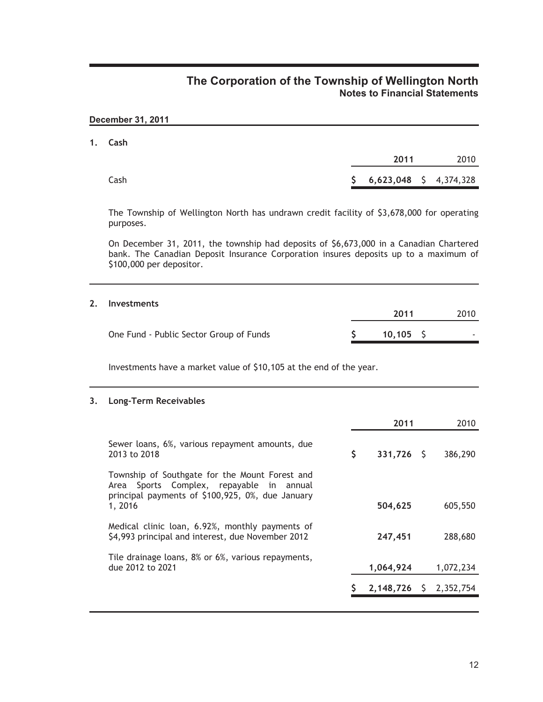### **December 31, 2011**

**1. Cash**

|      | 2011                       | 2010 |
|------|----------------------------|------|
| Cash | $$6,623,048$$ $$4,374,328$ |      |

The Township of Wellington North has undrawn credit facility of \$3,678,000 for operating purposes.

On December 31, 2011, the township had deposits of \$6,673,000 in a Canadian Chartered bank. The Canadian Deposit Insurance Corporation insures deposits up to a maximum of \$100,000 per depositor.

## **2. Investments**

| THE SULTERS                             | 2011        | 2010   |
|-----------------------------------------|-------------|--------|
| One Fund - Public Sector Group of Funds | $10,105$ \$ | $\sim$ |

Investments have a market value of \$10,105 at the end of the year.

## **3. Long-Term Receivables**

|                                                                                                                                                           | 2011                       | 2010      |
|-----------------------------------------------------------------------------------------------------------------------------------------------------------|----------------------------|-----------|
| Sewer loans, 6%, various repayment amounts, due<br>2013 to 2018                                                                                           | \$<br>$331,726$ \$         | 386,290   |
| Township of Southgate for the Mount Forest and<br>Area Sports Complex, repayable in annual<br>principal payments of \$100,925, 0%, due January<br>1, 2016 | 504,625                    | 605,550   |
| Medical clinic loan, 6.92%, monthly payments of<br>\$4,993 principal and interest, due November 2012                                                      | 247,451                    | 288,680   |
| Tile drainage loans, 8% or 6%, various repayments,<br>due 2012 to 2021                                                                                    | 1,064,924                  | 1,072,234 |
|                                                                                                                                                           | 2, 148, 726 \$ 2, 352, 754 |           |
|                                                                                                                                                           |                            |           |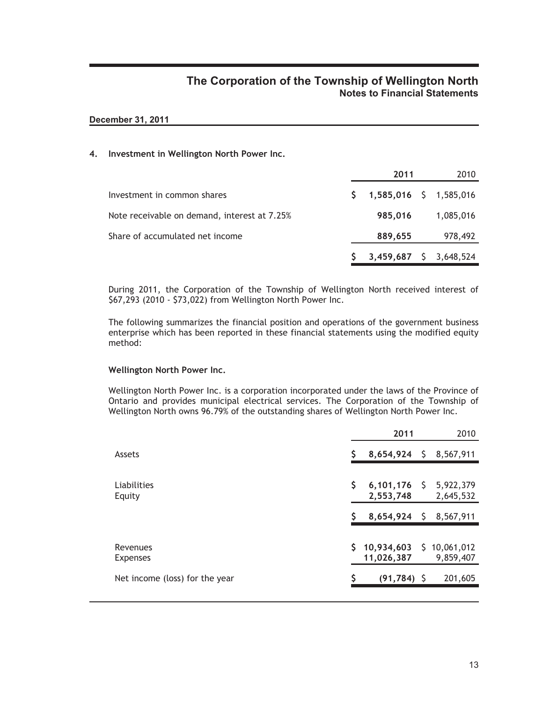### **December 31, 2011**

### **4. Investment in Wellington North Power Inc.**

|                                              | 2011                          | 2010      |
|----------------------------------------------|-------------------------------|-----------|
| Investment in common shares                  | $$1,585,016 \quad $1,585,016$ |           |
| Note receivable on demand, interest at 7.25% | 985,016                       | 1,085,016 |
| Share of accumulated net income              | 889,655                       | 978,492   |
|                                              | 3,459,687 \$ 3,648,524        |           |

During 2011, the Corporation of the Township of Wellington North received interest of \$67,293 (2010 - \$73,022) from Wellington North Power Inc.

The following summarizes the financial position and operations of the government business enterprise which has been reported in these financial statements using the modified equity method:

### **Wellington North Power Inc.**

Wellington North Power Inc. is a corporation incorporated under the laws of the Province of Ontario and provides municipal electrical services. The Corporation of the Township of Wellington North owns 96.79% of the outstanding shares of Wellington North Power Inc.

|                                |    | 2011                     |     | 2010                      |
|--------------------------------|----|--------------------------|-----|---------------------------|
| Assets                         |    | $8,654,924$ \$           |     | 8,567,911                 |
| Liabilities                    | \$ | $6,101,176$ \$           |     | 5,922,379                 |
| Equity                         |    | 2,553,748<br>8,654,924   | - S | 2,645,532<br>8,567,911    |
| Revenues<br><b>Expenses</b>    | S. | 10,934,603<br>11,026,387 |     | \$10,061,012<br>9,859,407 |
| Net income (loss) for the year |    | $(91, 784)$ \$           |     | 201,605                   |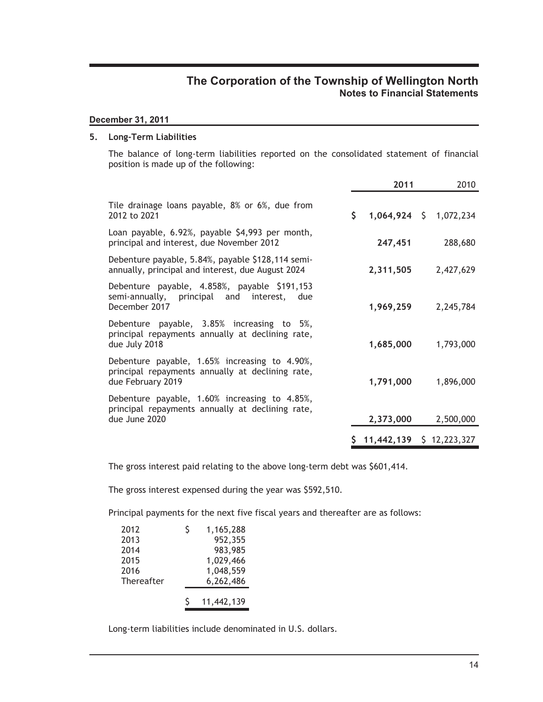### **December 31, 2011**

## **5. Long-Term Liabilities**

The balance of long-term liabilities reported on the consolidated statement of financial position is made up of the following:

|                                                                                                                        | 2011                         | 2010      |
|------------------------------------------------------------------------------------------------------------------------|------------------------------|-----------|
| Tile drainage loans payable, 8% or 6%, due from<br>2012 to 2021                                                        | \$<br>1,064,924 \$ 1,072,234 |           |
| Loan payable, 6.92%, payable \$4,993 per month,<br>principal and interest, due November 2012                           | 247,451                      | 288,680   |
| Debenture payable, 5.84%, payable \$128,114 semi-<br>annually, principal and interest, due August 2024                 | 2,311,505                    | 2,427,629 |
| Debenture payable, 4.858%, payable \$191,153<br>semi-annually, principal and interest, due<br>December 2017            | 1,969,259                    | 2,245,784 |
| Debenture payable, 3.85% increasing to 5%,<br>principal repayments annually at declining rate,<br>due July 2018        | 1,685,000                    | 1,793,000 |
| Debenture payable, 1.65% increasing to 4.90%,<br>principal repayments annually at declining rate,<br>due February 2019 | 1,791,000                    | 1,896,000 |
| Debenture payable, 1.60% increasing to 4.85%,<br>principal repayments annually at declining rate,<br>due June 2020     | 2,373,000                    | 2,500,000 |
|                                                                                                                        | $$11,442,139 \$12,223,327$   |           |

The gross interest paid relating to the above long-term debt was \$601,414.

The gross interest expensed during the year was \$592,510.

Principal payments for the next five fiscal years and thereafter are as follows:

| 2012       | S | 1,165,288  |
|------------|---|------------|
| 2013       |   | 952,355    |
| 2014       |   | 983,985    |
| 2015       |   | 1,029,466  |
| 2016       |   | 1,048,559  |
| Thereafter |   | 6,262,486  |
|            | ς | 11,442,139 |

Long-term liabilities include denominated in U.S. dollars.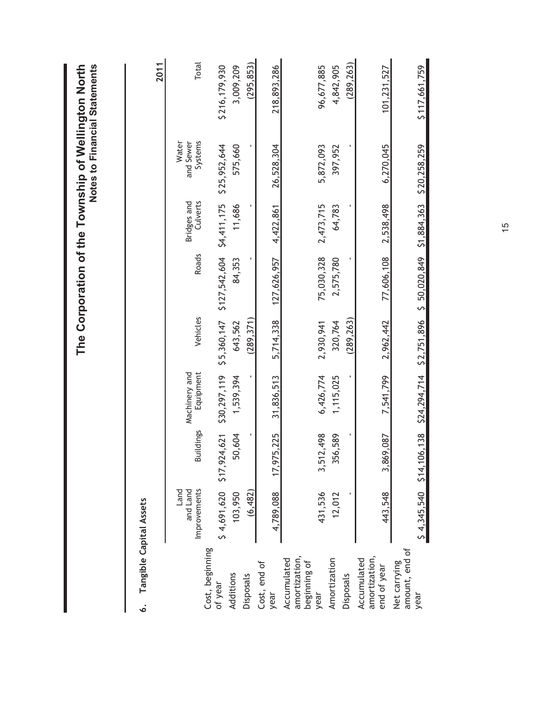| .<br>ف                                       | Tangible Capital Assets          |                                      |                            |                        |                         |                         |                               | 2011                       |
|----------------------------------------------|----------------------------------|--------------------------------------|----------------------------|------------------------|-------------------------|-------------------------|-------------------------------|----------------------------|
| Cost, beginning                              | Improvements<br>Land<br>and Land | <b>Buildings</b>                     | Equipment<br>Machinery and | Vehicles               | Roads                   | Culverts<br>Bridges and | Systems<br>Water<br>and Sewer | Total                      |
| Additions<br>of year                         | 103,950                          | $54,691,620$ $517,924,621$<br>50,604 | \$30,297,119<br>1,539,394  | \$5,360,147<br>643,562 | \$127,542,604<br>84,353 | \$4,411,175<br>11,686   | \$25,952,644<br>575,660       | \$216,179,930<br>3,009,209 |
| <b>Disposals</b>                             | (6, 482)                         |                                      |                            | (289, 371)             |                         |                         |                               | (295, 853)                 |
| Cost, end of<br>year                         | 4,789,088                        | 17,975,225                           | 31,836,513                 | 5,714,338              | 127,626,957             | 4,422,861               | 26,528,304                    | 218,893,286                |
| amortization,<br>Accumulated<br>beginning of |                                  |                                      |                            |                        |                         |                         |                               |                            |
| Amortization<br>year                         | 431,536                          | 3,512,498                            | 6,426,774                  | 2,930,941              | 75,030,328              | 2,473,715               | 5,872,093                     | 96,677,885                 |
| <b>Disposals</b>                             | 12,012                           | 356,589                              | 1,115,025                  | (289, 263)<br>320,764  | 2,575,780               | 64,783                  | 397,952                       | (289, 263)<br>4,842,905    |
| amortization,<br>Accumulated<br>end of year  | 443,548                          | 3,869,087                            | 7,541,799                  | 2,962,442              | 77,606,108              | 2,538,498               | 6,270,045                     | 101,231,527                |
| amount, end of<br>Net carrying<br>year       |                                  | $$4,345,540$ $$14,106,138$           | \$24,294,714               | \$2,751,896            | \$50,020,849            | \$1,884,363             | \$20,258,259                  | \$117,661,759              |

The Corporation of the Township of Wellington North<br>Notes to Financial Statements  **Notes to Financial Statements The Corporation of the Township of Wellington North**

15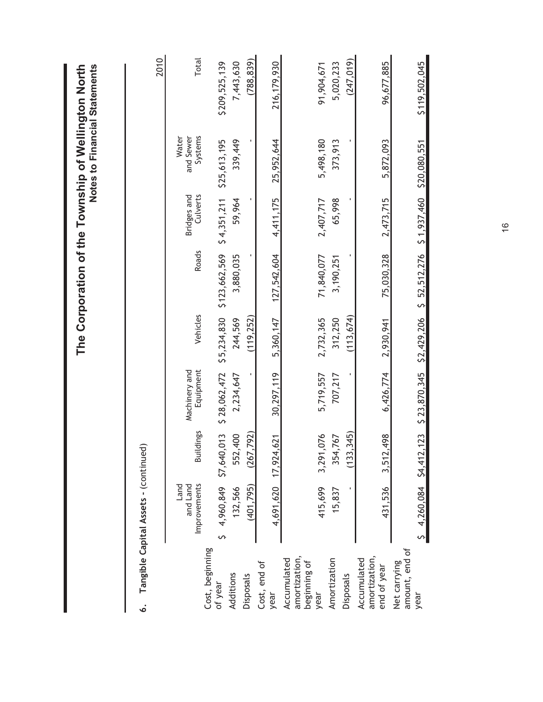| ellington<br>North                   | lotes to Financial Statement |
|--------------------------------------|------------------------------|
|                                      |                              |
|                                      |                              |
| The Corporation of the Township of \ |                              |
|                                      |                              |

**6. Tangible Capital Assets -** (continued)  $\dot{\mathbf{o}}$ 

|                                              | Tangible Capital Assets - (continued) |                            |                            |             |                                                                  |                         |                               | 2010          |
|----------------------------------------------|---------------------------------------|----------------------------|----------------------------|-------------|------------------------------------------------------------------|-------------------------|-------------------------------|---------------|
|                                              | Improvements<br>Land<br>and Land      | ldings<br>Buil             | Equipment<br>Machinery and | Vehicles    | <b>Roads</b>                                                     | Culverts<br>Bridges and | Water<br>and Sewer<br>Systems | Total         |
| Cost, beginning<br>of year                   | 4,960,849                             | \$7,640,013                | \$28,062,472               | \$5,234,830 | \$123,662,569                                                    | 54,351,211              | \$25,613,195                  | \$209,525,139 |
| Additions                                    | 132,566                               | 552,400                    | 2,234,647                  | 244,569     | 3,880,035                                                        | 59,964                  | 339,449                       | 7,443,630     |
| <b>Disposals</b>                             | (401, 795)                            | (267, 792)                 |                            | (119, 252)  |                                                                  |                         |                               | (788, 839)    |
| Cost, end of<br>year                         |                                       | 4,691,620 17,924,621       | 30,297,119                 | 5,360,147   | 127,542,604                                                      | 4,411,175               | 25,952,644                    | 216, 179, 930 |
| amortization,<br>Accumulated<br>beginning of |                                       |                            |                            |             |                                                                  |                         |                               |               |
| year                                         | 415,699                               | 3,291,076                  | 5,719,557                  | 2,732,365   | 71,840,077                                                       | 2,407,717               | 5,498,180                     | 91,904,671    |
| Amortization                                 | 15,837                                | 354,767                    | 707,217                    | 312,250     | 3,190,251                                                        | 65,998                  | 373,913                       | 5,020,233     |
| <b>Disposals</b>                             |                                       | , 345<br>(133)             |                            | (113, 674)  |                                                                  |                         |                               | (247, 019)    |
| amortization,<br>Accumulated                 |                                       |                            |                            |             |                                                                  |                         |                               |               |
| end of year                                  | 431,536                               | 3,512,498                  | 6,426,774                  | 2,930,941   | 75,030,328                                                       | 2,473,715               | 5,872,093                     | 96,677,885    |
| amount, end of<br>Net carrying<br>year       |                                       | $5$ 4,260,084 $54,412,123$ |                            |             | \$ 23,870,345 \$2,429,206 \$ 52,512,276 \$1,937,460 \$20,080,551 |                         |                               | \$119,502,045 |

16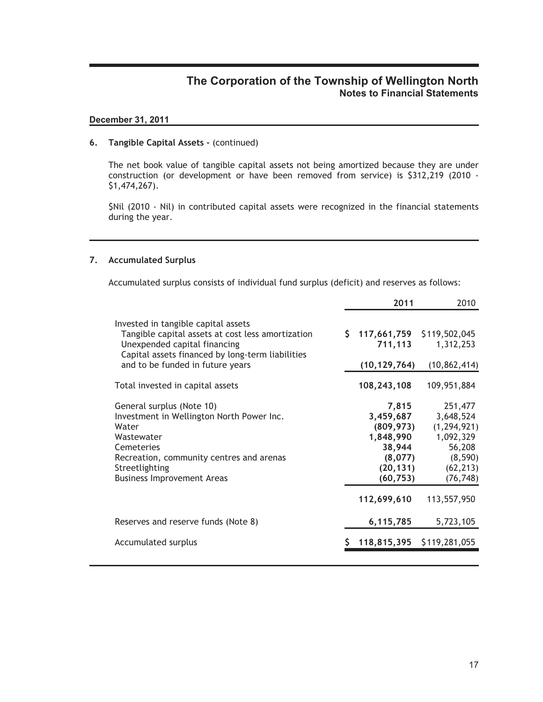### **December 31, 2011**

## **6.** Tangible Capital Assets - (continued)

The net book value of tangible capital assets not being amortized because they are under construction (or development or have been removed from service) is \$312,219 (2010 - \$1,474,267).

\$Nil (2010 - Nil) in contributed capital assets were recognized in the financial statements during the year.

## **7. Accumulated Surplus**

Accumulated surplus consists of individual fund surplus (deficit) and reserves as follows:

|                                                                                                                                                                                                                  |    | 2011                                                                                                        | 2010                                                                                                              |
|------------------------------------------------------------------------------------------------------------------------------------------------------------------------------------------------------------------|----|-------------------------------------------------------------------------------------------------------------|-------------------------------------------------------------------------------------------------------------------|
| Invested in tangible capital assets<br>Tangible capital assets at cost less amortization<br>Unexpended capital financing<br>Capital assets financed by long-term liabilities<br>and to be funded in future years | S. | 117,661,759 \$119,502,045<br>711,113<br>(10, 129, 764)                                                      | 1,312,253<br>(10, 862, 414)                                                                                       |
| Total invested in capital assets                                                                                                                                                                                 |    | 108,243,108                                                                                                 | 109,951,884                                                                                                       |
| General surplus (Note 10)<br>Investment in Wellington North Power Inc.<br>Water<br>Wastewater<br>Cemeteries<br>Recreation, community centres and arenas<br>Streetlighting<br><b>Business Improvement Areas</b>   |    | 7,815<br>3,459,687<br>(809, 973)<br>1,848,990<br>38,944<br>(8,077)<br>(20, 131)<br>(60, 753)<br>112,699,610 | 251,477<br>3,648,524<br>(1, 294, 921)<br>1,092,329<br>56,208<br>(8, 590)<br>(62, 213)<br>(76, 748)<br>113,557,950 |
| Reserves and reserve funds (Note 8)                                                                                                                                                                              |    | 6,115,785                                                                                                   | 5,723,105                                                                                                         |
| Accumulated surplus                                                                                                                                                                                              |    |                                                                                                             | 118,815,395 \$119,281,055                                                                                         |
|                                                                                                                                                                                                                  |    |                                                                                                             |                                                                                                                   |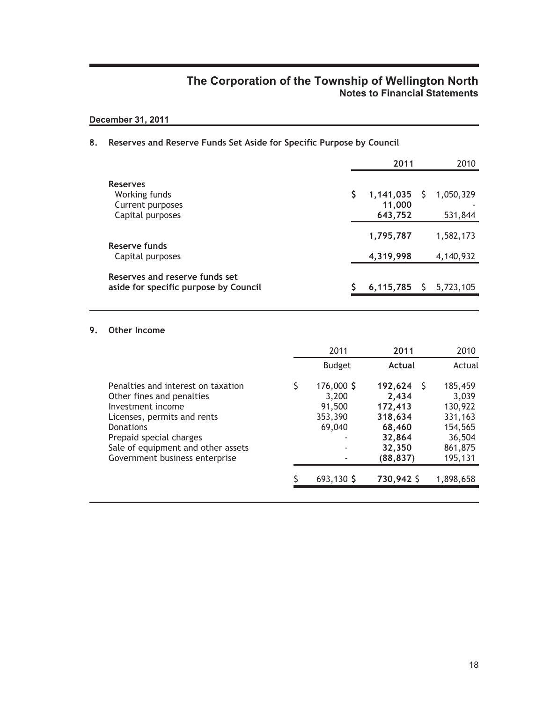## **December 31, 2011**

## **8. Reserves and Reserve Funds Set Aside for Specific Purpose by Council**

|                                                                         | 2011            |   | 2010      |
|-------------------------------------------------------------------------|-----------------|---|-----------|
| <b>Reserves</b>                                                         |                 |   |           |
| Working funds                                                           | \$<br>1,141,035 | S | 1,050,329 |
| Current purposes                                                        | 11,000          |   |           |
| Capital purposes                                                        | 643,752         |   | 531,844   |
|                                                                         | 1,795,787       |   | 1,582,173 |
| Reserve funds<br>Capital purposes                                       | 4,319,998       |   | 4,140,932 |
|                                                                         |                 |   |           |
| Reserves and reserve funds set<br>aside for specific purpose by Council | 6,115,785       |   | 5,723,105 |

#### **9. Other Income**

|                                                                                                                                                                                                                                            |   | 2011                                               | 2011                                                                                    | 2010                                                                              |
|--------------------------------------------------------------------------------------------------------------------------------------------------------------------------------------------------------------------------------------------|---|----------------------------------------------------|-----------------------------------------------------------------------------------------|-----------------------------------------------------------------------------------|
|                                                                                                                                                                                                                                            |   | <b>Budget</b>                                      | Actual                                                                                  | Actual                                                                            |
| Penalties and interest on taxation<br>Other fines and penalties<br>Investment income<br>Licenses, permits and rents<br><b>Donations</b><br>Prepaid special charges<br>Sale of equipment and other assets<br>Government business enterprise | Ş | 176,000 \$<br>3,200<br>91,500<br>353,390<br>69,040 | 192,624<br>-S<br>2,434<br>172,413<br>318,634<br>68,460<br>32,864<br>32,350<br>(88, 837) | 185,459<br>3,039<br>130,922<br>331,163<br>154,565<br>36,504<br>861,875<br>195,131 |
|                                                                                                                                                                                                                                            |   | $693,130$ \$                                       | 730,942 \$                                                                              | 1,898,658                                                                         |
|                                                                                                                                                                                                                                            |   |                                                    |                                                                                         |                                                                                   |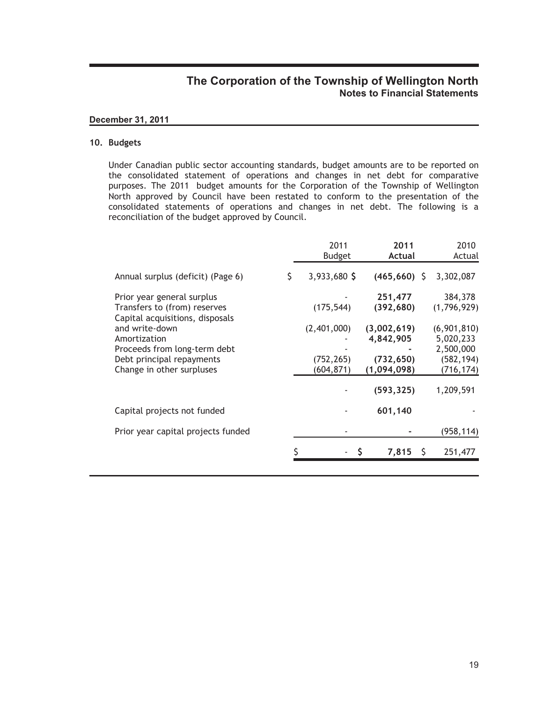### **December 31, 2011**

### **10. Budgets**

Under Canadian public sector accounting standards, budget amounts are to be reported on the consolidated statement of operations and changes in net debt for comparative purposes. The 2011 budget amounts for the Corporation of the Township of Wellington North approved by Council have been restated to conform to the presentation of the consolidated statements of operations and changes in net debt. The following is a reconciliation of the budget approved by Council.

|                                                                                               | 2011<br><b>Budget</b>   | 2011<br>Actual            | 2010<br>Actual                        |
|-----------------------------------------------------------------------------------------------|-------------------------|---------------------------|---------------------------------------|
| Annual surplus (deficit) (Page 6)                                                             | \$<br>3,933,680 \$      | $(465, 660)$ \$           | 3,302,087                             |
| Prior year general surplus<br>Transfers to (from) reserves<br>Capital acquisitions, disposals | (175, 544)              | 251,477<br>(392, 680)     | 384,378<br>(1,796,929)                |
| and write-down<br>Amortization<br>Proceeds from long-term debt                                | (2,401,000)             | (3,002,619)<br>4,842,905  | (6,901,810)<br>5,020,233<br>2,500,000 |
| Debt principal repayments<br>Change in other surpluses                                        | (752, 265)<br>(604,871) | (732, 650)<br>(1,094,098) | (582, 194)<br>(716, 174)              |
|                                                                                               |                         | (593, 325)                | 1,209,591                             |
| Capital projects not funded                                                                   |                         | 601,140                   |                                       |
| Prior year capital projects funded                                                            |                         |                           | (958,114)                             |
|                                                                                               |                         | 7,815                     | 251,477                               |
|                                                                                               |                         |                           |                                       |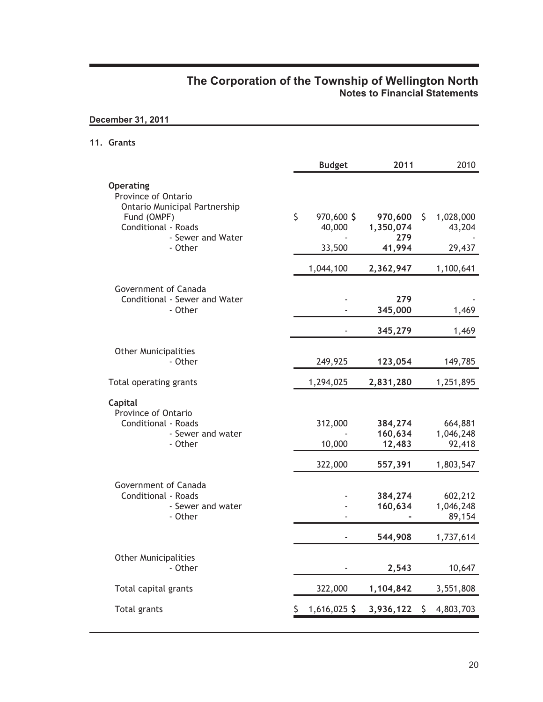**December 31, 2011**

## **11. Grants**

|                                                                                    | <b>Budget</b>    | 2011                        |         | 2010                           |
|------------------------------------------------------------------------------------|------------------|-----------------------------|---------|--------------------------------|
| <b>Operating</b><br>Province of Ontario<br><b>Ontario Municipal Partnership</b>    | \$<br>970,600 \$ |                             | \$      |                                |
| Fund (OMPF)<br><b>Conditional - Roads</b><br>- Sewer and Water                     | 40,000           | 970,600<br>1,350,074<br>279 |         | 1,028,000<br>43,204            |
| - Other                                                                            | 33,500           | 41,994                      |         | 29,437                         |
|                                                                                    | 1,044,100        | 2,362,947                   |         | 1,100,641                      |
| Government of Canada<br>Conditional - Sewer and Water<br>- Other                   |                  | 279<br>345,000              |         | 1,469                          |
|                                                                                    |                  | 345,279                     |         | 1,469                          |
| <b>Other Municipalities</b><br>- Other                                             | 249,925          | 123,054                     |         | 149,785                        |
| Total operating grants                                                             | 1,294,025        | 2,831,280                   |         | 1,251,895                      |
| Capital<br>Province of Ontario                                                     |                  |                             |         |                                |
| <b>Conditional - Roads</b><br>- Sewer and water                                    | 312,000          | 384,274<br>160,634          |         | 664,881<br>1,046,248           |
| - Other                                                                            | 10,000           | 12,483                      |         | 92,418                         |
|                                                                                    | 322,000          | 557,391                     |         | 1,803,547                      |
| Government of Canada<br><b>Conditional - Roads</b><br>- Sewer and water<br>- Other |                  | 384,274<br>160,634          |         | 602,212<br>1,046,248<br>89,154 |
|                                                                                    |                  | 544,908                     |         | 1,737,614                      |
| <b>Other Municipalities</b><br>- Other                                             |                  | 2,543                       |         | 10,647                         |
| Total capital grants                                                               | 322,000          | 1,104,842                   |         | 3,551,808                      |
| Total grants                                                                       | 1,616,025 \$     | 3,936,122                   | $\zeta$ | 4,803,703                      |
|                                                                                    |                  |                             |         |                                |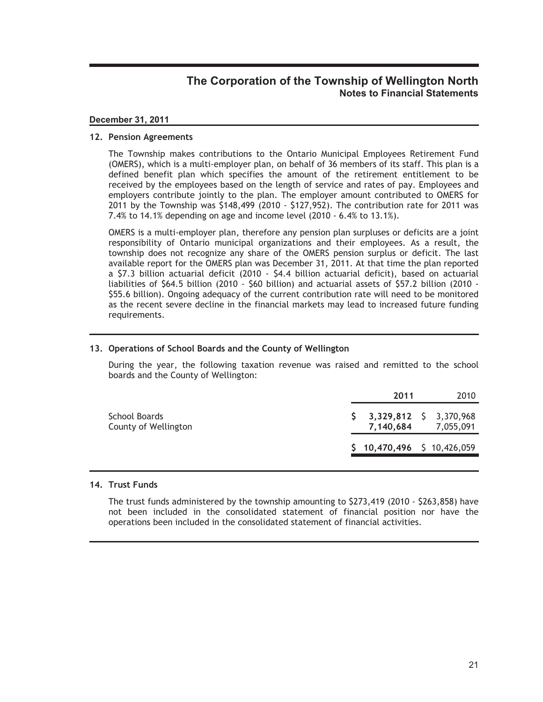## **December 31, 2011**

## **12. Pension Agreements**

The Township makes contributions to the Ontario Municipal Employees Retirement Fund (OMERS), which is a multi-employer plan, on behalf of 36 members of its staff. This plan is a defined benefit plan which specifies the amount of the retirement entitlement to be received by the employees based on the length of service and rates of pay. Employees and employers contribute jointly to the plan. The employer amount contributed to OMERS for 2011 by the Township was \$148,499 (2010 - \$127,952). The contribution rate for 2011 was 7.4% to 14.1% depending on age and income level (2010 - 6.4% to 13.1%).

OMERS is a multi-employer plan, therefore any pension plan surpluses or deficits are a joint responsibility of Ontario municipal organizations and their employees. As a result, the township does not recognize any share of the OMERS pension surplus or deficit. The last available report for the OMERS plan was December 31, 2011. At that time the plan reported a \$7.3 billion actuarial deficit (2010 - \$4.4 billion actuarial deficit), based on actuarial liabilities of \$64.5 billion (2010 - \$60 billion) and actuarial assets of \$57.2 billion (2010 - \$55.6 billion). Ongoing adequacy of the current contribution rate will need to be monitored as the recent severe decline in the financial markets may lead to increased future funding requirements.

## **13. Operations of School Boards and the County of Wellington**

During the year, the following taxation revenue was raised and remitted to the school boards and the County of Wellington:

|                                       |    | 2011                                | 2010      |
|---------------------------------------|----|-------------------------------------|-----------|
| School Boards<br>County of Wellington | S. | 3,329,812 \$ 3,370,968<br>7,140,684 | 7,055,091 |
|                                       |    | $$10,470,496 \$10,426,059$          |           |

### **14. Trust Funds**

The trust funds administered by the township amounting to \$273,419 (2010 - \$263,858) have not been included in the consolidated statement of financial position nor have the operations been included in the consolidated statement of financial activities.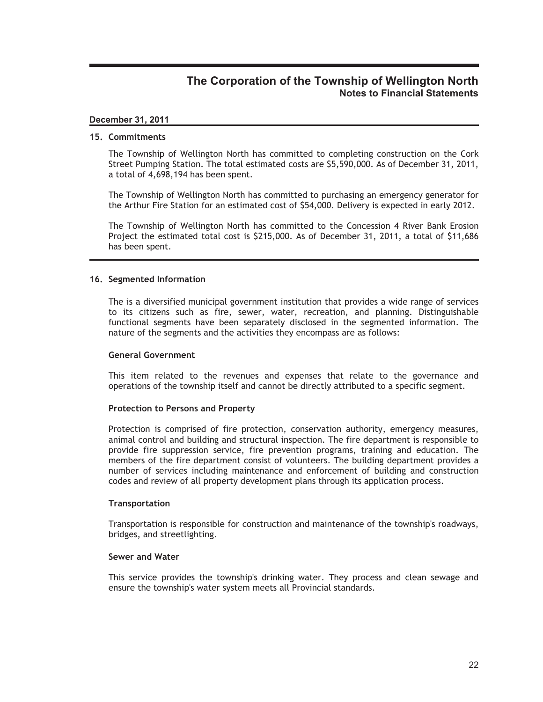### **December 31, 2011**

### **15. Commitments**

The Township of Wellington North has committed to completing construction on the Cork Street Pumping Station. The total estimated costs are \$5,590,000. As of December 31, 2011, a total of 4,698,194 has been spent.

The Township of Wellington North has committed to purchasing an emergency generator for the Arthur Fire Station for an estimated cost of \$54,000. Delivery is expected in early 2012.

The Township of Wellington North has committed to the Concession 4 River Bank Erosion Project the estimated total cost is \$215,000. As of December 31, 2011, a total of \$11,686 has been spent.

### **16. Segmented Information**

The is a diversified municipal government institution that provides a wide range of services to its citizens such as fire, sewer, water, recreation, and planning. Distinguishable functional segments have been separately disclosed in the segmented information. The nature of the segments and the activities they encompass are as follows:

### **General Government**

This item related to the revenues and expenses that relate to the governance and operations of the township itself and cannot be directly attributed to a specific segment.

### **Protection to Persons and Property**

Protection is comprised of fire protection, conservation authority, emergency measures, animal control and building and structural inspection. The fire department is responsible to provide fire suppression service, fire prevention programs, training and education. The members of the fire department consist of volunteers. The building department provides a number of services including maintenance and enforcement of building and construction codes and review of all property development plans through its application process.

### **Transportation**

Transportation is responsible for construction and maintenance of the township's roadways, bridges, and streetlighting.

### **Sewer and Water**

This service provides the township's drinking water. They process and clean sewage and ensure the township's water system meets all Provincial standards.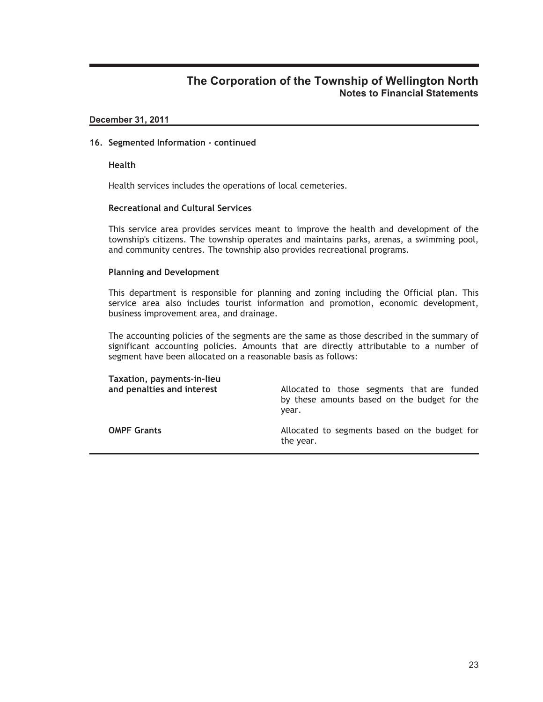### **December 31, 2011**

### **16. Segmented Information - continued**

#### **Health**

Health services includes the operations of local cemeteries.

#### **Recreational and Cultural Services**

This service area provides services meant to improve the health and development of the township's citizens. The township operates and maintains parks, arenas, a swimming pool, and community centres. The township also provides recreational programs.

#### **Planning and Development**

This department is responsible for planning and zoning including the Official plan. This service area also includes tourist information and promotion, economic development, business improvement area, and drainage.

The accounting policies of the segments are the same as those described in the summary of significant accounting policies. Amounts that are directly attributable to a number of segment have been allocated on a reasonable basis as follows:

| Taxation, payments-in-lieu<br>and penalties and interest | Allocated to those segments that are funded<br>by these amounts based on the budget for the<br>year. |
|----------------------------------------------------------|------------------------------------------------------------------------------------------------------|
| <b>OMPF Grants</b>                                       | Allocated to segments based on the budget for<br>the year.                                           |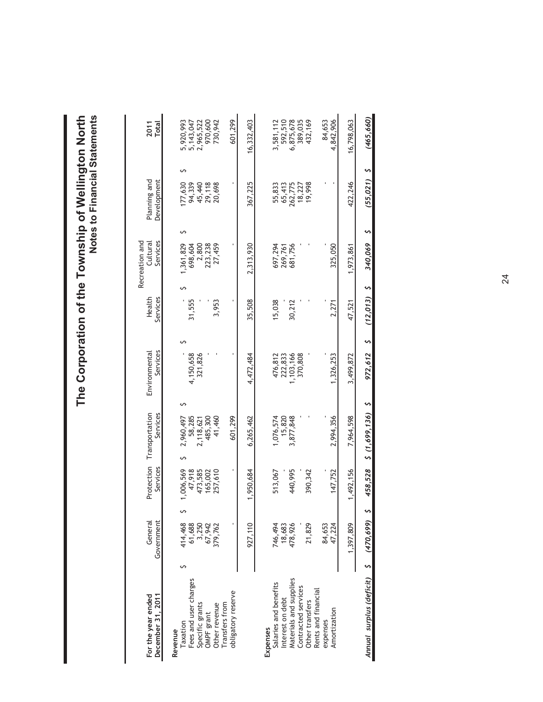The Corporation of the Township of Wellington North<br>Notes to Financial Statements  **Notes to Financial Statements The Corporation of the Township of Wellington North**

| December 31, 2011<br>For the year ended                                                                                                                                             | Government<br>General                                      | Protection<br>Services                                            | Transportation<br>Services                                                    |   | Services<br>Environmental                               | Health<br>Services        | Recreation and<br>Cultural<br>Services                          | Planning and<br>Development                                | 2011<br>Total                                                                        |  |
|-------------------------------------------------------------------------------------------------------------------------------------------------------------------------------------|------------------------------------------------------------|-------------------------------------------------------------------|-------------------------------------------------------------------------------|---|---------------------------------------------------------|---------------------------|-----------------------------------------------------------------|------------------------------------------------------------|--------------------------------------------------------------------------------------|--|
| Fees and user charges<br>obligatory reserve<br>Specific grants<br>Transfers from<br>Other revenue<br>OMPF grant<br>Taxation<br>Revenue                                              | 927,110<br>414,468<br>61,688<br>3,250<br>67,942<br>379,762 | 1,006,569<br>47,918<br>473,585<br>165,002<br>257,610<br>1,950,684 | 601,299<br>2,960,497<br>58,285<br>485,300<br>41,460<br>6,265,462<br>2,118,621 |   | 4,150,658<br>321,826<br>4,472,484                       | 35,508<br>31,555<br>3,953 | 1,361,829<br>698,604<br>223,238<br>27,459<br>2,313,930<br>2,800 | 177,630<br>29,118<br>20,698<br>367,225<br>94,339<br>45,440 | 601,299<br>5,920,993<br>16,332,403<br>5, 143, 047<br>970,600<br>730,942<br>2,965,522 |  |
| Materials and supplies<br>Salaries and benefits<br>Contracted services<br>Rents and financial<br>Interest on debt<br>Other transfers<br>Amortization<br>expenses<br><b>Expenses</b> | 47,224<br>746,494<br>478,926<br>21,829<br>18,683<br>84,653 | 513,067<br>440,995<br>147,752<br>390,342                          | 1,076,574<br>15,820<br>3,877,848<br>2,994,356                                 |   | 370,808<br>476,812<br>222,833<br>1,103,166<br>1,326,253 | 15,038<br>30,212<br>2,271 | 325,050<br>697,294<br>681,756<br>269,761                        | 55,833<br>65,413<br>262,775<br>19,998<br>18,227            | 592,510<br>6,875,678<br>432,169<br>84,653<br>4,842,906<br>3,581,112<br>389,035       |  |
| Annual surplus (deficit) \$                                                                                                                                                         | (470, 699)<br>1,397,809                                    | 458,528<br>1,492,156                                              | \$(1,699,136)<br>7,964,598                                                    | n | 972,612<br>3,499,872                                    | (12, 013)<br>47,521<br>n  | 340,069<br>1,973,861<br>n                                       | (55, 021)<br>422,246<br>n                                  | (465,660)<br>16,798,063<br>n                                                         |  |

24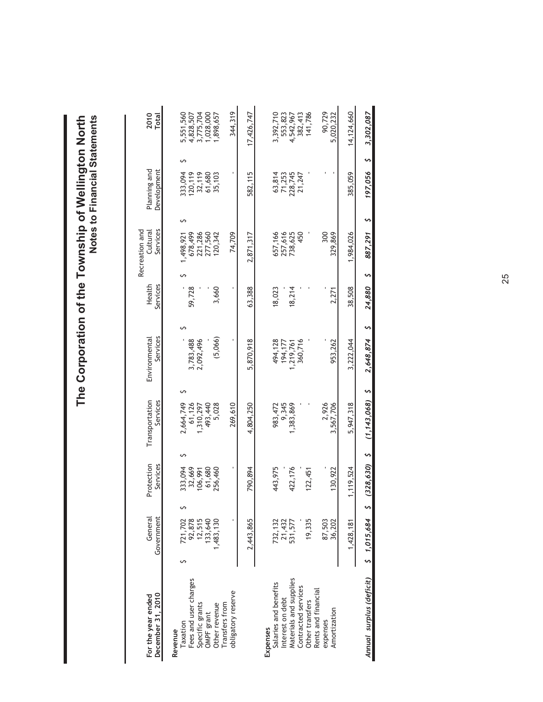The Corporation of the Township of Wellington North<br>Notes to Financial Statements  **Notes to Financial Statements The Corporation of the Township of Wellington North**

| December 31, 2010<br>For the year ended                                                                                                                                             | Government<br>General                                            | Protection<br>Services                                       | Transportation<br>Services                                                   | Services<br>Environmental                             | Health<br>Services        | Recreation and<br>Services<br>Cultural                                      | Planning and<br>Development                                 | 2010<br><b>Total</b>                                                                  |
|-------------------------------------------------------------------------------------------------------------------------------------------------------------------------------------|------------------------------------------------------------------|--------------------------------------------------------------|------------------------------------------------------------------------------|-------------------------------------------------------|---------------------------|-----------------------------------------------------------------------------|-------------------------------------------------------------|---------------------------------------------------------------------------------------|
| Fees and user charges<br>obligatory reserve<br>Specific grants<br>Transfers from<br>Other revenue<br>OMPF grant<br><b><i><u><u>raxation</u></u></i></b><br>Revenue                  | 721,702<br>92,878<br>2,443,865<br>12,515<br>133,640<br>1,483,130 | 333,094<br>32,669<br>61,680<br>256,460<br>790,894<br>106,991 | 2,664,749<br>61,126<br>269,610<br>493,440<br>5,028<br>4,804,250<br>1,310,297 | (5,066)<br>3,783,488<br>2,092,496<br>5,870,918        | 59,728<br>3,660<br>63,388 | 221,286<br>277,560<br>74,709<br>2,871,317<br>678,499<br>120,342<br>,498,921 | 133,094<br>582,115<br>32,119<br>61,680<br>35,103<br>120,119 | 344,319<br>5,551,560<br>4,828,507<br>3,775,704<br>1,028,000<br>,898,657<br>17,426,747 |
| Materials and supplies<br>Salaries and benefits<br>Contracted services<br>Rents and financial<br>Interest on debt<br>Other transfers<br>Amortization<br>expenses<br><b>Expenses</b> | 19,335<br>732, 132<br>21, 432<br>531, 577<br>87,503<br>36,202    | 443,975<br>422,176<br>130,922<br>122,451                     | 2,926<br>1,383,869<br>983,472<br>9,345<br>3,567,706                          | 494,128<br>360,716<br>953,262<br>194,177<br>1,219,761 | 18,023<br>18,214<br>2,271 | 657,166<br>257,616<br>738,625<br>450<br>$\frac{300}{200}$<br>329,869        | 63,814<br>71,253<br>228,745<br>21,247                       | 90,729<br>3,392,710<br>4,542,967<br>382,413<br>141,786<br>5,020,232<br>553,823        |
| Annual surplus (deficit)                                                                                                                                                            | 5, 1, 015, 684<br>1,428,181                                      | S<br>(328, 630)<br>1,119,524                                 | $\mathbf{v}_1$<br>(1, 143, 068)<br>5,947,318                                 | n<br>2,648,874<br>3,222,044                           | n<br>24,880<br>38,508     | n<br>1,984,026<br>887,291                                                   | n<br>197,056<br>385,059                                     | 14,124,660<br>3,302,087                                                               |

25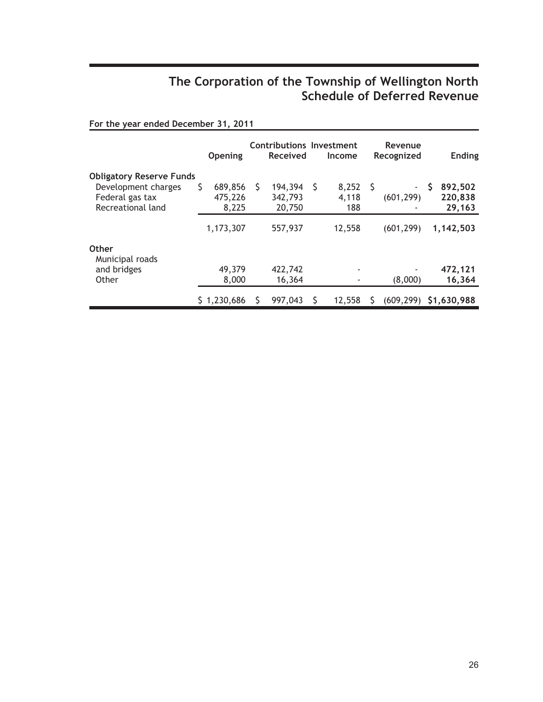# **The Corporation of the Township of Wellington North Schedule of Deferred Revenue**

**For the year ended December 31, 2011**

|                                 |   | <b>Opening</b> |              | <b>Contributions Investment</b><br>Received | Income     |   | Revenue<br>Recognized |   | <b>Ending</b> |
|---------------------------------|---|----------------|--------------|---------------------------------------------|------------|---|-----------------------|---|---------------|
| <b>Obligatory Reserve Funds</b> |   |                |              |                                             |            |   |                       |   |               |
| Development charges             | S | 689,856        | <sub>S</sub> | 194,394 \$                                  | $8,252$ \$ |   | $\sim$                | S | 892,502       |
| Federal gas tax                 |   | 475,226        |              | 342,793                                     | 4,118      |   | (601, 299)            |   | 220,838       |
| Recreational land               |   | 8,225          |              | 20,750                                      | 188        |   |                       |   | 29,163        |
|                                 |   | 1,173,307      |              | 557,937                                     | 12,558     |   | (601, 299)            |   | 1,142,503     |
| Other                           |   |                |              |                                             |            |   |                       |   |               |
| Municipal roads                 |   |                |              |                                             |            |   |                       |   |               |
| and bridges                     |   | 49,379         |              | 422,742                                     |            |   |                       |   | 472,121       |
| Other                           |   | 8,000          |              | 16,364                                      |            |   | (8,000)               |   | 16,364        |
|                                 |   | \$1,230,686    |              | 997,043                                     | 12,558     | S | (609, 299)            |   | \$1,630,988   |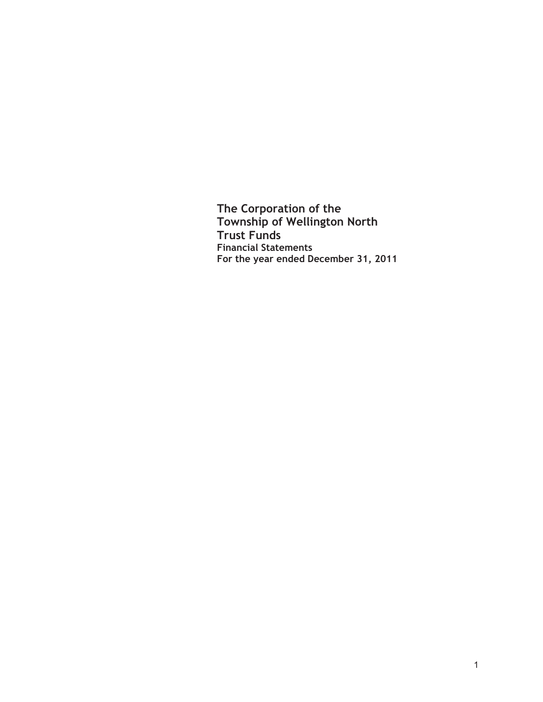**The Corporation of the Township of Wellington North Trust Funds Financial Statements For the year ended December 31, 2011**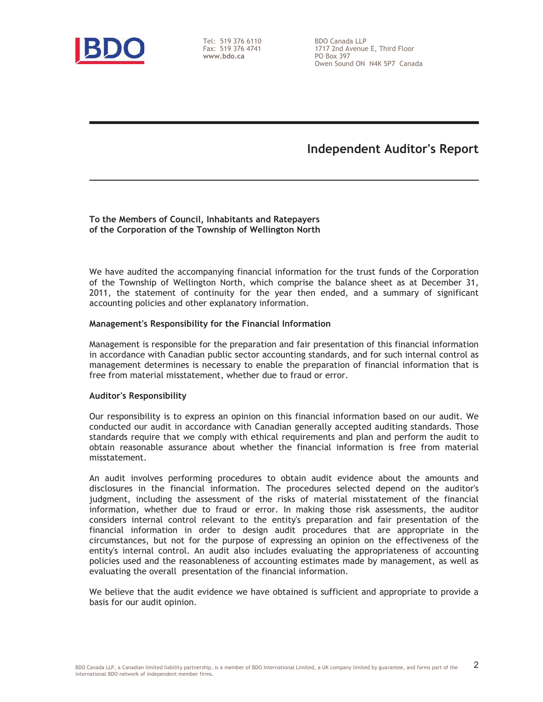

Tel: 519 376 6110 Fax: 519 376 4741 **www.bdo.ca** 

BDO Canada LLP 1717 2nd Avenue E, Third Floor PO Box 397 Owen Sound ON N4K 5P7 Canada

**Independent Auditor's Report**

### **To the Members of Council, Inhabitants and Ratepayers of the Corporation of the Township of Wellington North**

We have audited the accompanying financial information for the trust funds of the Corporation of the Township of Wellington North, which comprise the balance sheet as at December 31, 2011, the statement of continuity for the year then ended, and a summary of significant accounting policies and other explanatory information.

## **Management's Responsibility for the Financial Information**

Management is responsible for the preparation and fair presentation of this financial information in accordance with Canadian public sector accounting standards, and for such internal control as management determines is necessary to enable the preparation of financial information that is free from material misstatement, whether due to fraud or error.

### **Auditor's Responsibility**

Our responsibility is to express an opinion on this financial information based on our audit. We conducted our audit in accordance with Canadian generally accepted auditing standards. Those standards require that we comply with ethical requirements and plan and perform the audit to obtain reasonable assurance about whether the financial information is free from material misstatement.

An audit involves performing procedures to obtain audit evidence about the amounts and disclosures in the financial information. The procedures selected depend on the auditor's judgment, including the assessment of the risks of material misstatement of the financial information, whether due to fraud or error. In making those risk assessments, the auditor considers internal control relevant to the entity's preparation and fair presentation of the financial information in order to design audit procedures that are appropriate in the circumstances, but not for the purpose of expressing an opinion on the effectiveness of the entity's internal control. An audit also includes evaluating the appropriateness of accounting policies used and the reasonableness of accounting estimates made by management, as well as evaluating the overall presentation of the financial information.

We believe that the audit evidence we have obtained is sufficient and appropriate to provide a basis for our audit opinion.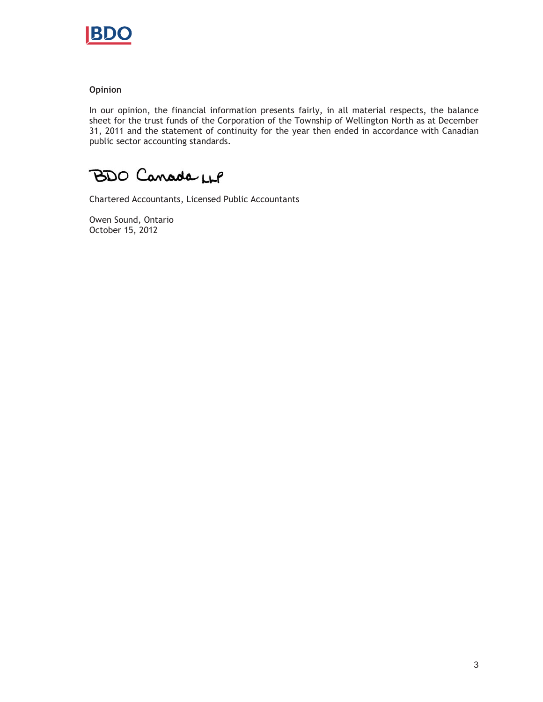

## **Opinion**

In our opinion, the financial information presents fairly, in all material respects, the balance sheet for the trust funds of the Corporation of the Township of Wellington North as at December 31, 2011 and the statement of continuity for the year then ended in accordance with Canadian public sector accounting standards.

BDO Canada LLP

Chartered Accountants, Licensed Public Accountants

Owen Sound, Ontario October 15, 2012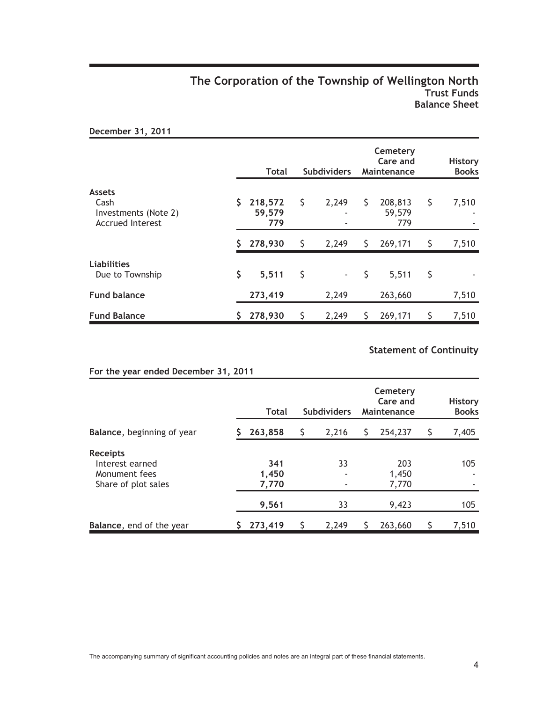## **The Corporation of the Township of Wellington North Trust Funds Balance Sheet**

|                                                                          | <b>Total</b>                   |    | <b>Subdividers</b> |    | Cemetery<br>Care and<br>Maintenance |    | <b>History</b><br><b>Books</b> |
|--------------------------------------------------------------------------|--------------------------------|----|--------------------|----|-------------------------------------|----|--------------------------------|
| <b>Assets</b><br>Cash<br>Investments (Note 2)<br><b>Accrued Interest</b> | \$<br>218,572<br>59,579<br>779 | \$ | 2,249              | Ş  | 208,813<br>59,579<br>779            | \$ | 7,510                          |
|                                                                          | 278,930                        | Ş  | 2,249              | S  | 269,171                             | Ş  | 7,510                          |
| <b>Liabilities</b><br>Due to Township                                    | \$<br>5,511                    | \$ | $\mathbf{r}$       | \$ | 5,511                               | \$ |                                |
| <b>Fund balance</b>                                                      | 273,419                        |    | 2,249              |    | 263,660                             |    | 7,510                          |
| <b>Fund Balance</b>                                                      | \$<br>278,930                  | \$ | 2,249              |    | 269,171                             | Ş  | 7,510                          |

**December 31, 2011**

## **Statement of Continuity**

## **For the year ended December 31, 2011**

|                                                                            | Total                 | <b>Subdividers</b> |   | Cemetery<br>Care and<br>Maintenance | <b>History</b><br><b>Books</b> |
|----------------------------------------------------------------------------|-----------------------|--------------------|---|-------------------------------------|--------------------------------|
| Balance, beginning of year                                                 | 263,858               | \$<br>2,216        | S | 254,237                             | 7,405                          |
| <b>Receipts</b><br>Interest earned<br>Monument fees<br>Share of plot sales | 341<br>1,450<br>7,770 | 33                 |   | 203<br>1,450<br>7,770               | 105                            |
|                                                                            | 9,561                 | 33                 |   | 9,423                               | 105                            |
| Balance, end of the year                                                   | 273,419               | 2,249              |   | 263,660                             | 7,510                          |